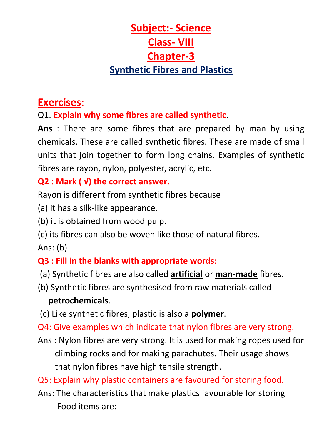# **Subject:- Science Class- VIII Chapter-3 Synthetic Fibres and Plastics**

## **Exercises**:

Q1. **Explain why some fibres are called synthetic**.

**Ans** : There are some fibres that are prepared by man by using chemicals. These are called synthetic fibres. These are made of small units that join together to form long chains. Examples of synthetic fibres are rayon, nylon, polyester, acrylic, etc.

#### **Q2 : Mark ( √) the correct answer.**

Rayon is different from synthetic fibres because

- (a) it has a silk-like appearance.
- (b) it is obtained from wood pulp.
- (c) its fibres can also be woven like those of natural fibres.

Ans: (b)

#### **Q3 : Fill in the blanks with appropriate words:**

- (a) Synthetic fibres are also called **artificial** or **man-made** fibres.
- (b) Synthetic fibres are synthesised from raw materials called **petrochemicals**.
- (c) Like synthetic fibres, plastic is also a **polymer**.
- Q4: Give examples which indicate that nylon fibres are very strong.
- Ans : Nylon fibres are very strong. It is used for making ropes used for climbing rocks and for making parachutes. Their usage shows that nylon fibres have high tensile strength.

Q5: Explain why plastic containers are favoured for storing food.

Ans: The characteristics that make plastics favourable for storing Food items are: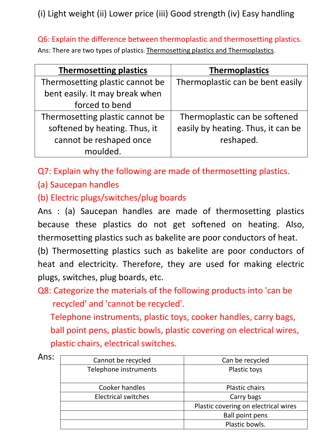(i) Light weight (ii) Lower price (iii) Good strength (iv) Easy handling

Q6: Explain the difference between thermoplastic and thermosetting plastics.

Ans: There are two types of plastics: Thermosetting plastics and Thermoplastics.

| <b>Thermosetting plastics</b>   | <b>Thermoplastics</b>              |
|---------------------------------|------------------------------------|
| Thermosetting plastic cannot be | Thermoplastic can be bent easily   |
| bent easily. It may break when  |                                    |
| forced to bend                  |                                    |
| Thermosetting plastic cannot be | Thermoplastic can be softened      |
| softened by heating. Thus, it   | easily by heating. Thus, it can be |
| cannot be reshaped once         | reshaped.                          |
| moulded.                        |                                    |

Q7: Explain why the following are made of thermosetting plastics.

(a) Saucepan handles

(b) Electric plugs/switches/plug boards

Ans : (a) Saucepan handles are made of thermosetting plastics because these plastics do not get softened on heating. Also, thermosetting plastics such as bakelite are poor conductors of heat.

(b) Thermosetting plastics such as bakelite are poor conductors of heat and electricity. Therefore, they are used for making electric plugs, switches, plug boards, etc.

Q8: Categorize the materials of the following products into 'can be recycled' and 'cannot be recycled'.

 Telephone instruments, plastic toys, cooker handles, carry bags, ball point pens, plastic bowls, plastic covering on electrical wires, plastic chairs, electrical switches.

| Ans: |                            |                                      |
|------|----------------------------|--------------------------------------|
|      | Cannot be recycled         | Can be recycled                      |
|      | Telephone instruments      | Plastic toys                         |
|      |                            |                                      |
|      | Cooker handles             | <b>Plastic chairs</b>                |
|      | <b>Electrical switches</b> | Carry bags                           |
|      |                            | Plastic covering on electrical wires |
|      |                            | <b>Ball point pens</b>               |
|      |                            | Plastic bowls.                       |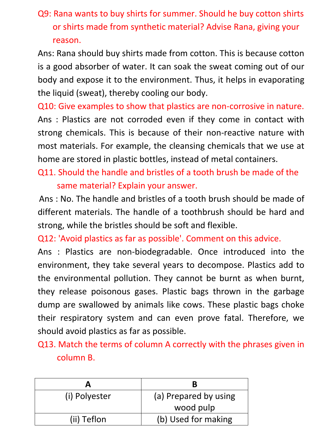### Q9: Rana wants to buy shirts for summer. Should he buy cotton shirts or shirts made from synthetic material? Advise Rana, giving your reason.

Ans: Rana should buy shirts made from cotton. This is because cotton is a good absorber of water. It can soak the sweat coming out of our body and expose it to the environment. Thus, it helps in evaporating the liquid (sweat), thereby cooling our body.

Q10: Give examples to show that plastics are non-corrosive in nature. Ans : Plastics are not corroded even if they come in contact with strong chemicals. This is because of their non-reactive nature with most materials. For example, the cleansing chemicals that we use at home are stored in plastic bottles, instead of metal containers.

Q11. Should the handle and bristles of a tooth brush be made of the same material? Explain your answer.

Ans : No. The handle and bristles of a tooth brush should be made of different materials. The handle of a toothbrush should be hard and strong, while the bristles should be soft and flexible.

Q12: 'Avoid plastics as far as possible'. Comment on this advice.

Ans : Plastics are non-biodegradable. Once introduced into the environment, they take several years to decompose. Plastics add to the environmental pollution. They cannot be burnt as when burnt, they release poisonous gases. Plastic bags thrown in the garbage dump are swallowed by animals like cows. These plastic bags choke their respiratory system and can even prove fatal. Therefore, we should avoid plastics as far as possible.

Q13. Match the terms of column A correctly with the phrases given in column B.

| (i) Polyester | (a) Prepared by using |
|---------------|-----------------------|
|               | wood pulp             |
| (ii) Teflon   | (b) Used for making   |